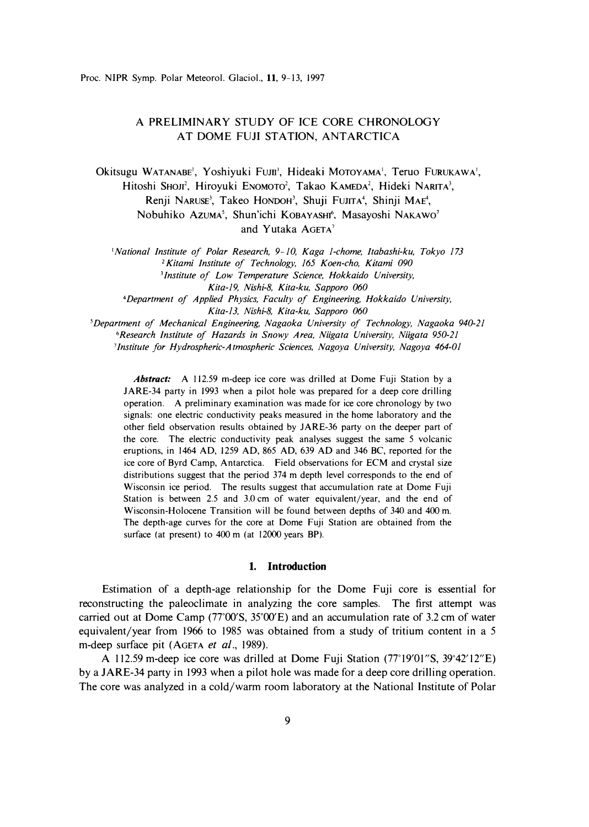# A PRELIMINARY STUDY OF ICE CORE CHRONOLOGY AT DOME FUJI STATION, ANTARCTICA

Okitsugu WATANABE', Yoshiyuki Furn', Hideaki MoTOYAMA', Teruo FURUKAWA', Hitoshi Shoji<sup>2</sup>, Hiroyuki Enomoto<sup>2</sup>, Takao Kameda<sup>2</sup>, Hideki Narita<sup>3</sup>, Renji NARUSE<sup>3</sup>, Takeo HONDOH<sup>3</sup>, Shuji FUJITA<sup>4</sup>, Shinji MAE<sup>4</sup>, Nobuhiko Azuma<sup>5</sup>, Shun'ichi KOBAYASHI<sup>6</sup>, Masayoshi NAKAWO<sup>7</sup> and Yutaka AGETA<sup>7</sup>

*'National Institute of Polar Research, 9-10, Kaga 1-chome, Itabashi-ku, Tokyo 173*  <sup>2</sup>*Kitami Institute of Technology, 165 Koen-cho, Kitami 090*  **<sup>3</sup>***Institute of Low Temperature Science, Hokkaido University,* 

*Kita-19, Nishi-8, Kita-ku, Sapporo 060* 

**<sup>4</sup>***Department of Applied Physics, Faculty of Engineering, Hokkaido University, Kita-13, Nishi-8, Kita-ku, Sapporo 060* 

*<sup>5</sup>Department of Mechanical Engineering, Nagaoka University of Technology, Nagaoka 940-21 <sup>6</sup>Research Institute of Hazards in Snowy Area, Niigata University, Niigata 950-21 7 Institute for Hydrospheric-Atmospheric Sciences, Nagoya Universi�y, Nagoya 464-01* 

*Abstract:* A 112.59 m-deep ice core was drilled at Dome Fuji Station by a JARE-34 party in 1993 when a pilot hole was prepared for a deep core drilling operation. A preliminary examination was made for ice core chronology by two signals: one electric conductivity peaks measured in the home laboratory and the other field observation results obtained by JARE-36 party on the deeper part of the core. The electric conductivity peak analyses suggest the same 5 volcanic eruptions, in 1464 AD, 1259 AD, 865 AD, 639 AD and 346 BC, reported for the ice core of Byrd Camp, Antarctica. Field observations for ECM and crystal size distributions suggest that the period 374 m depth level corresponds to the end of Wisconsin ice period. The results suggest that accumulation rate at Dome Fuji Station is between 2.5 and 3.0 cm of water equivalent/year, and the end of Wisconsin-Holocene Transition will be found between depths of 340 and 400 m. The depth-age curves for the core at Dome Fuji Station are obtained from the surface (at present) to 400 m (at 12000 years BP).

## **1. Introduction**

Estimation of a depth-age relationship for the Dome Fuji core is essential for reconstructing the paleoclimate in analyzing the core samples. The first attempt was carried out at Dome Camp (77°00′S, 35°00′E) and an accumulation rate of 3.2 cm of water equivalent/year from 1966 to 1985 was obtained from a study of tritium content in a 5 m-deep surface pit (AGETA *et al.,* 1989).

A 112.59 m-deep ice core was drilled at Dome Fuji Station (77° 19'01"S, 39° 42'12"E) by a JARE-34 party in 1993 when a pilot hole was made for a deep core drilling operation. The core was analyzed in a cold/warm room laboratory at the National Institute of Polar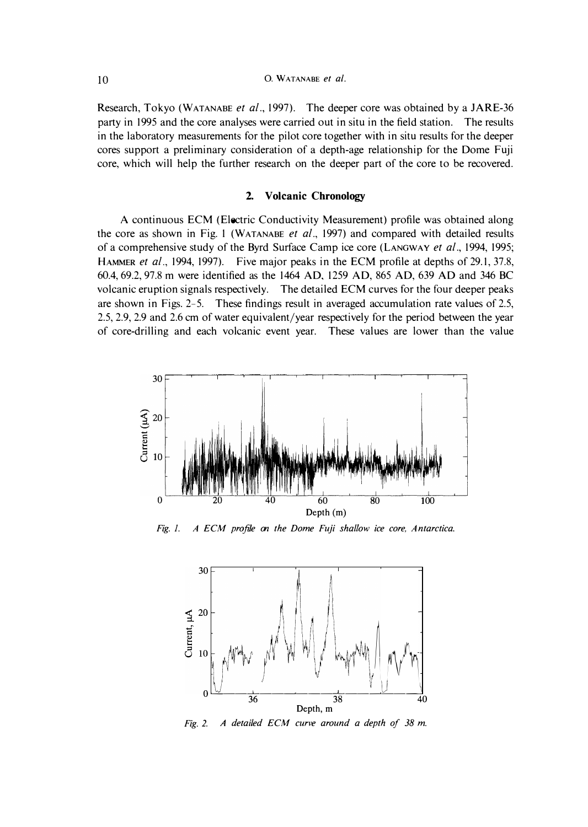## **10** 0. WATANABE *et al.*

Research, Tokyo (WATANABE *et al.,* 1997). The deeper core was obtained by a JARE-36 party in 1995 and the core analyses were carried out in situ in the field station. The results in the laboratory measurements for the pilot core together with in situ results for the deeper cores support a preliminary consideration of a depth-age relationship for the Dome Fuji core, which will help the further research on the deeper part of the core to be recovered.

## **2. Volcanic Chronology**

A continuous ECM (Electric Conductivity Measurement) profile was obtained along the core as shown in Fig. 1 (WATANABE *et al.,* 1997) and compared with detailed results of a comprehensive study of the Byrd Surface Camp ice core (LANGWAY *et al.,* 1994, 1995; HAMMER *et al.,* 1994, 1997). Five major peaks in the ECM profile at depths of 29.1, 37.8, 60.4, 69.2, 97.8 m were identified as the 1464 AD, 1259 AD, 865 AD, 639 AD and 346 BC volcanic eruption signals respectively. The detailed ECM curves for the four deeper peaks are shown in Figs. 2-5. These findings result in averaged accumulation rate values of 2.5, 2.5, 2.9, 2.9 and 2.6 cm of water equivalent/year respectively for the period between the year of core-drilling and each volcanic event year. These values are lower than the value



*Fig. 1. A ECM profile on the Dome Fuji shallow ice core, Antarctica.* 



*Fig. 2. A detailed ECM curve around a depth of 38 m.*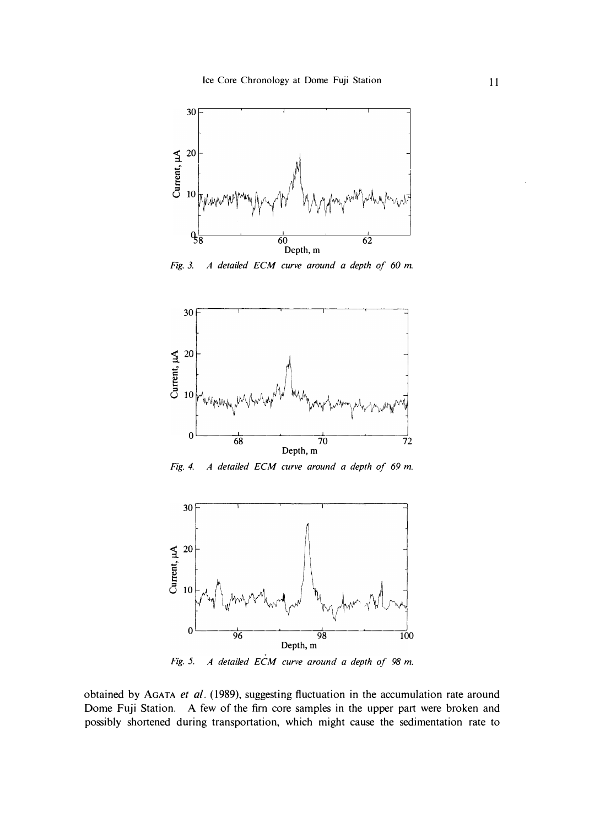

*Fig. 3. A detailed ECM curve around a depth of 60 m.* 



*Fig. 4. A detailed ECM curve around a depth of 69 m.* 



*Fig. 5. A detailed ECM curve around a depth of 98 m.* 

**obtained by** AGATA *et al.* **( 1989), suggesting fluctuation in the accumulation rate around Dome Fuji Station. A few of the firn core samples in the upper part were broken and possibly shortened during transportation, which might cause the sedimentation rate to**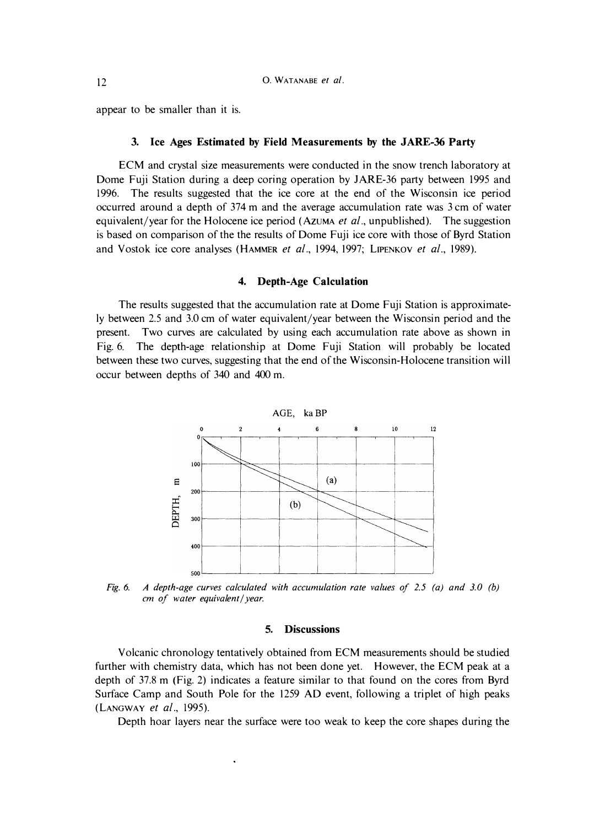appear to be smaller than it is.

#### **3. Ice Ages Estimated by Field Measurements by the JARE-36 Party**

ECM and crystal size measurements were conducted in the snow trench laboratory at Dome Fuji Station during a deep coring operation by JARE-36 party between 1995 and 1996. The results suggested that the ice core at the end of the Wisconsin ice period occurred around a depth of 374 m and the average accumulation rate was 3 cm of water equivalent/year for the Holocene ice period (AZUMA *et al.,* unpublished). The suggestion is based on comparison of the the results of Dome Fuji ice core with those of Byrd Station and Vostok ice core analyses (HAMMER *et al.,* 1994, 1997; LIPENKOV *et al.,* 1989).

#### **4. Depth-Age Calculation**

The results suggested that the accumulation rate at Dome Fuji Station is approximately between 2.5 and 3.0 cm of water equivalent/year between the Wisconsin period and the present. Two curves are calculated by using each accumulation rate above as shown in Fig. 6. The depth-age relationship at Dome Fuji Station will probably be located between these two curves, suggesting that the end of the Wisconsin-Holocene transition will occur between depths of 340 and 400 m.



*Fig. 6. A depth-age curves calculated with accumulation rate values of 2. 5 (a) and 3.0 (b) cm of water equivalent/ year.* 

### **5. Discussions**

Volcanic chronology tentatively obtained from ECM measurements should be studied further with chemistry data, which has not been done yet. However, the ECM peak at a depth of 37.8 m (Fig. 2) indicates a feature similar to that found on the cores from Byrd Surface Camp and South Pole for the 1259 AD event, following a triplet of high peaks (LANGWAY *et al.,* 1995).

Depth hoar layers near the surface were too weak to keep the core shapes during the